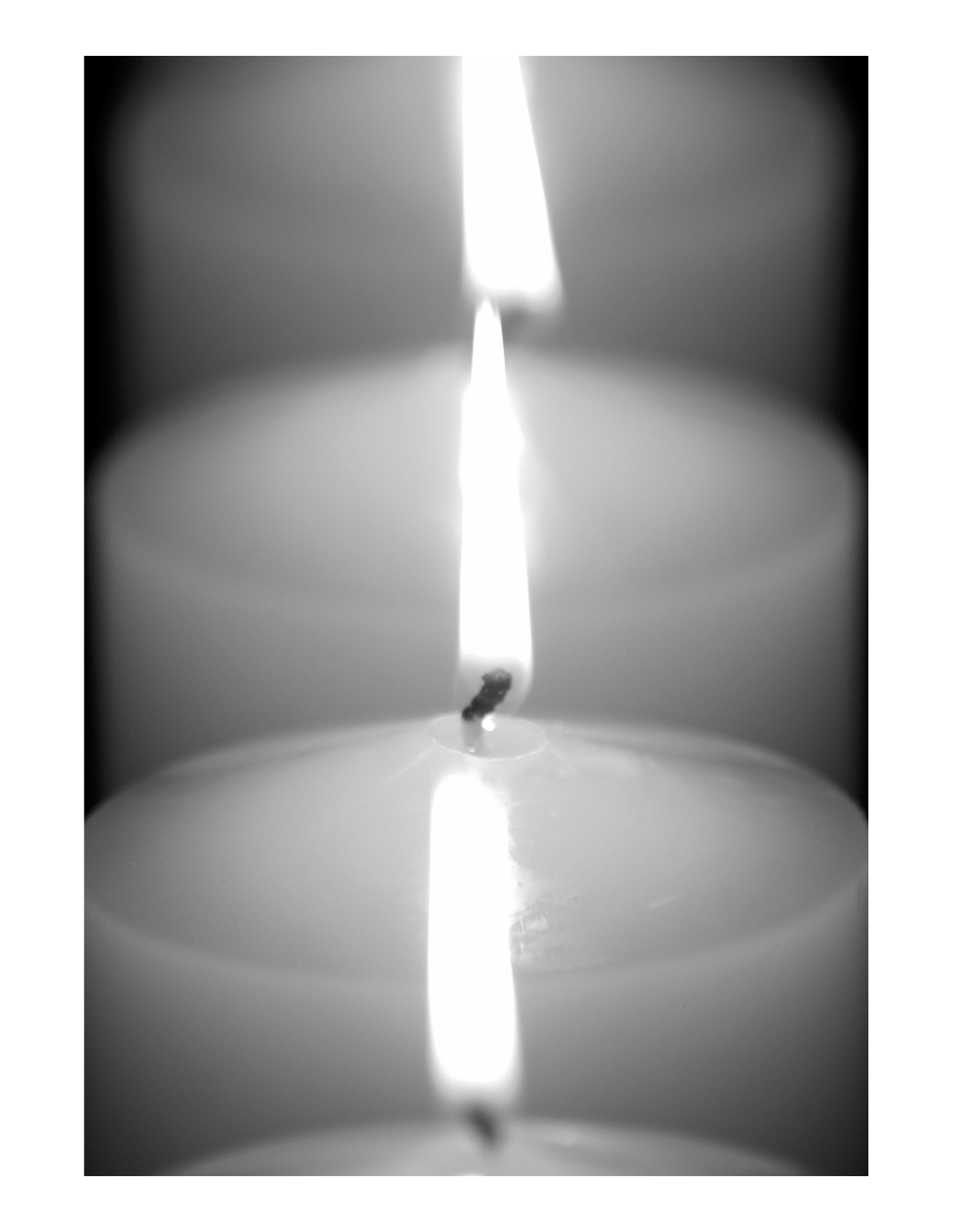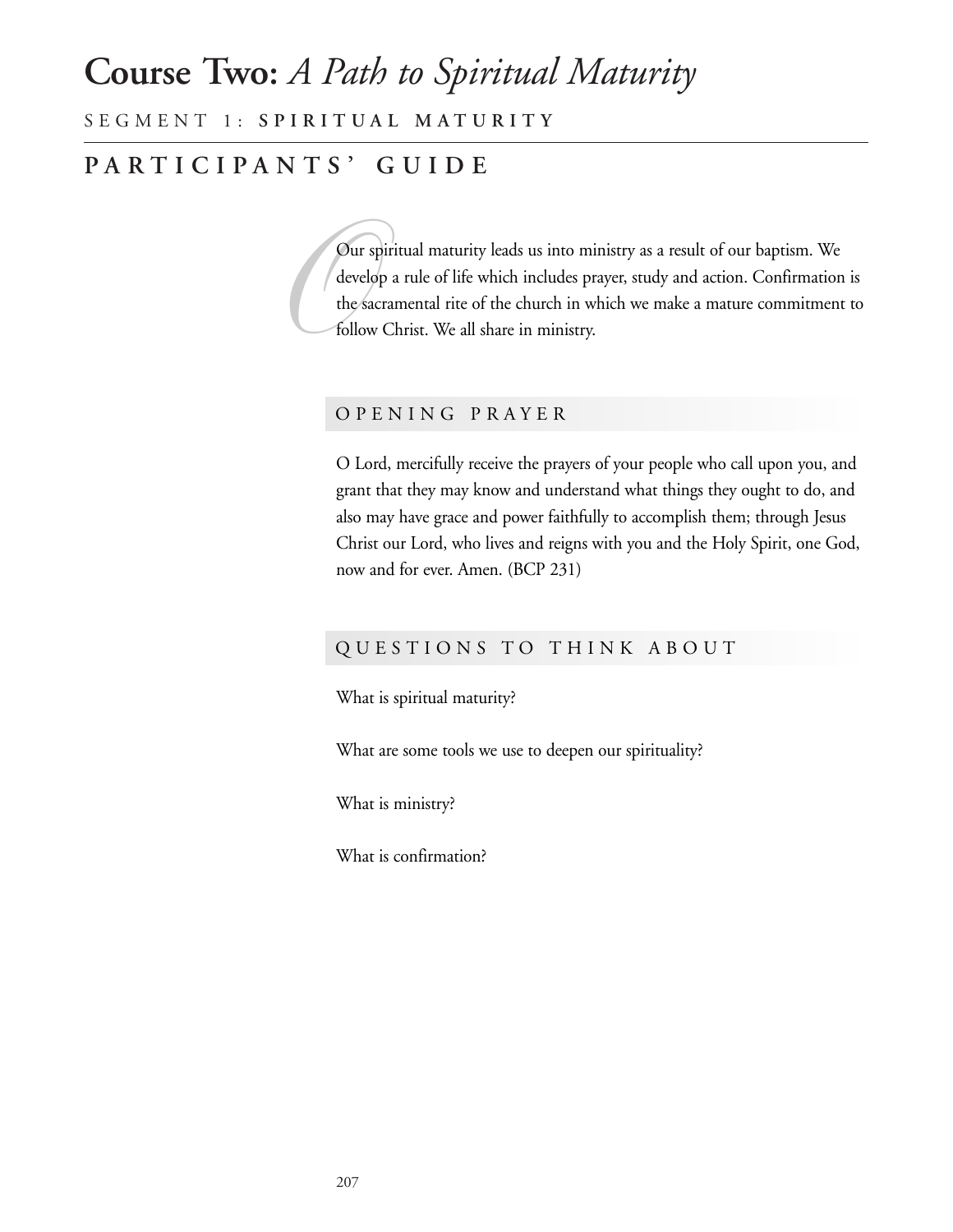# **Course Two:** *A Path to Spiritual Maturity*

SEGMENT 1: **SPIRITUAL MATURITY**

# **P A R TICIPANTS' GUIDE**

Our spirit<br>develop a<br>the sacram<br>follow Ch Our spiritual maturity leads us into ministry as a result of our baptism. We develop a rule of life which includes prayer, study and action. Confirmation is the sacramental rite of the church in which we make a mature commitment to follow Christ. We all share in ministry.

### OPENING PRAYER

O Lord, mercifully receive the prayers of your people who call upon you, and grant that they may know and understand what things they ought to do, and also may have grace and power faithfully to accomplish them; through Jesus Christ our Lord, who lives and reigns with you and the Holy Spirit, one God, now and for ever. Amen. (BCP 231)

### Q UESTIONS TO THINK ABOUT

What is spiritual maturity?

What are some tools we use to deepen our spirituality?

What is ministry?

What is confirmation?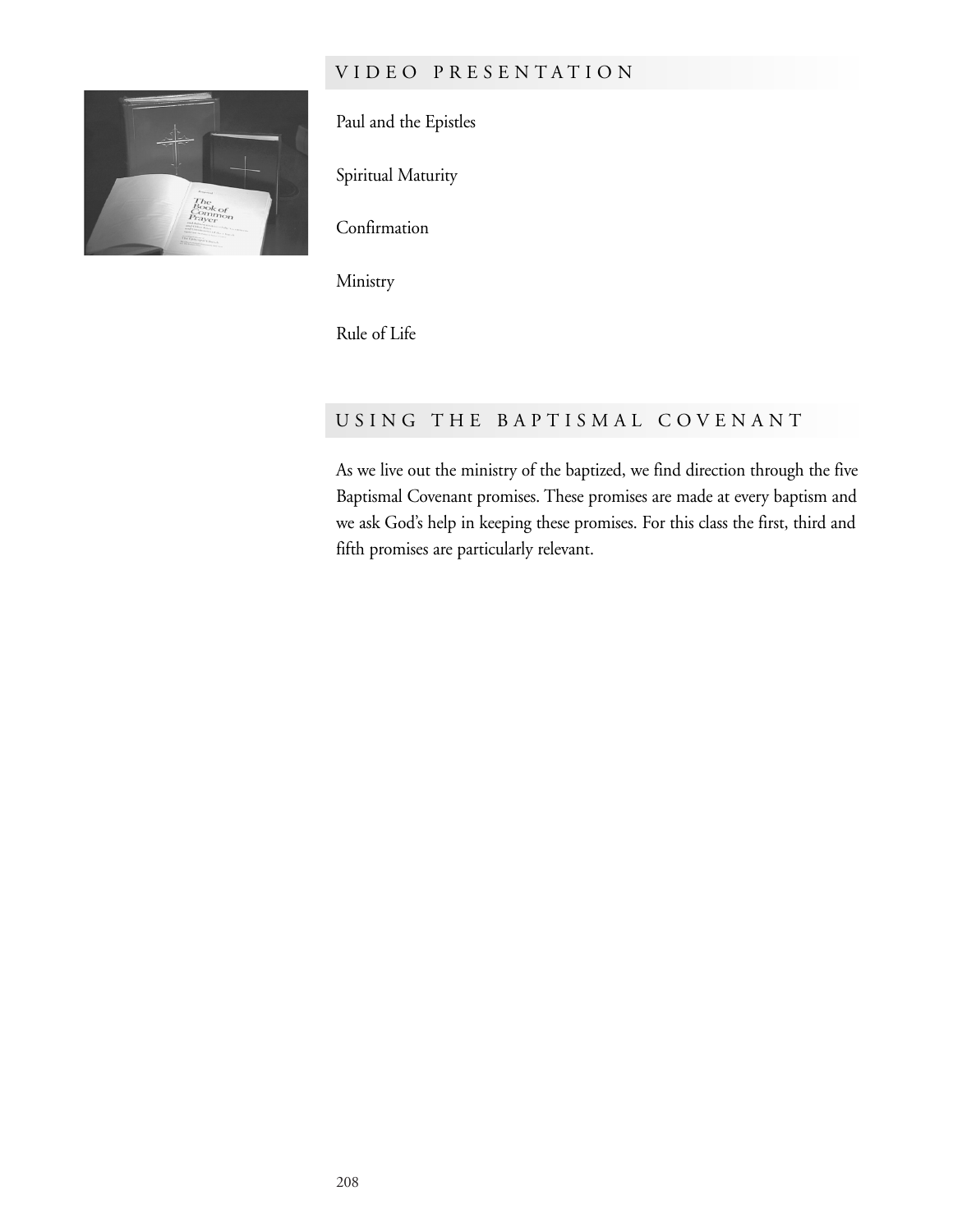## VIDEO PRESENTATION



Paul and the Epistles

Spiritual Maturity

Confirmation

Ministry

Rule of Life

## USING THE BAPTISMAL COVENANT

As we live out the ministry of the baptized, we find direction through the five Baptismal Covenant promises. These promises are made at every baptism and we ask God's help in keeping these promises. For this class the first, third and fifth promises are particularly relevant.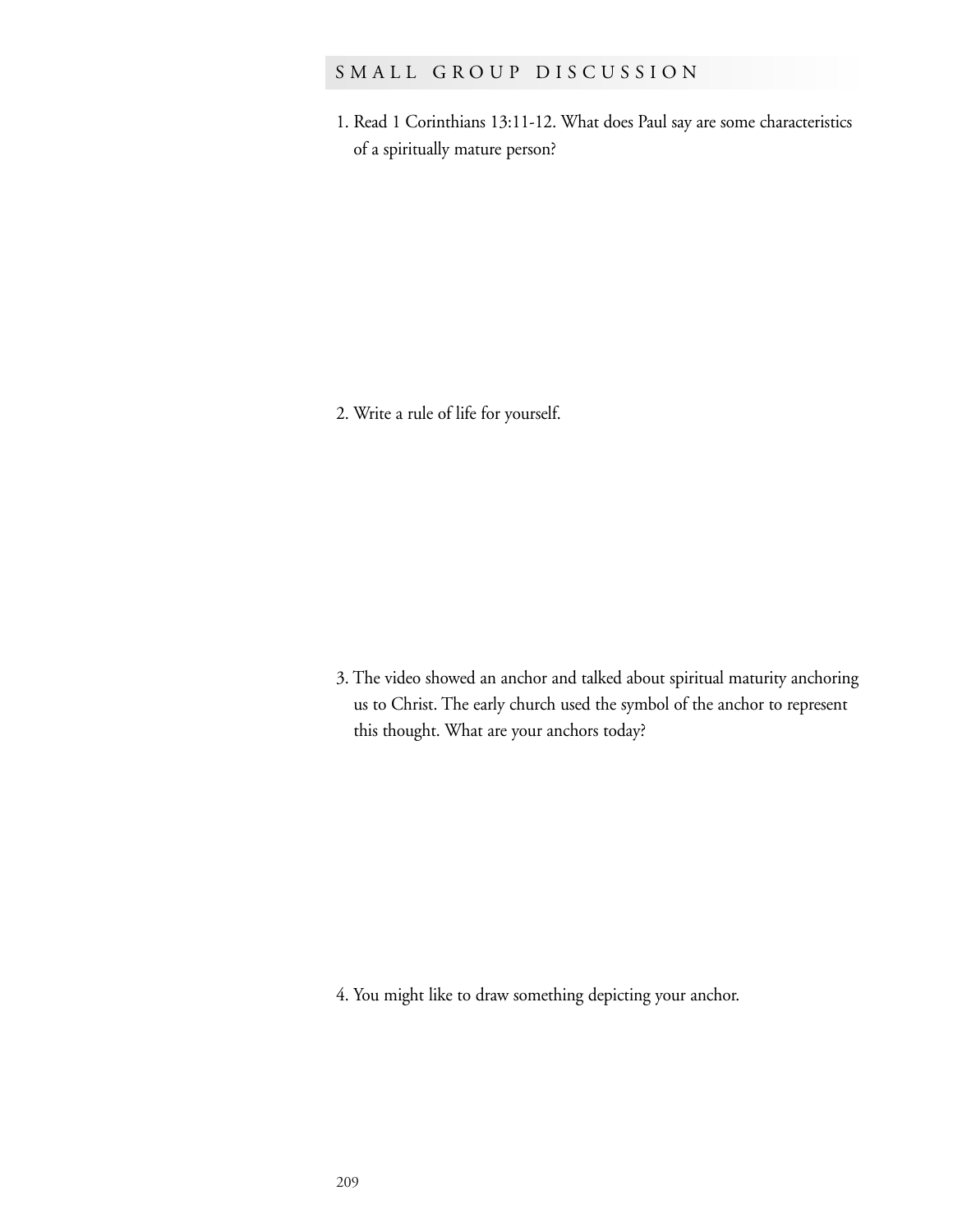## SMALL GROUP DISCUSSION

1. Read 1 Corinthians 13:11-12. What does Paul say are some characteristics of a spiritually mature person?

2. Write a rule of life for yourself.

3. The video showed an anchor and talked about spiritual maturity anchoring us to Christ. The early church used the symbol of the anchor to represent this thought. What are your anchors today?

4. You might like to draw something depicting your anchor.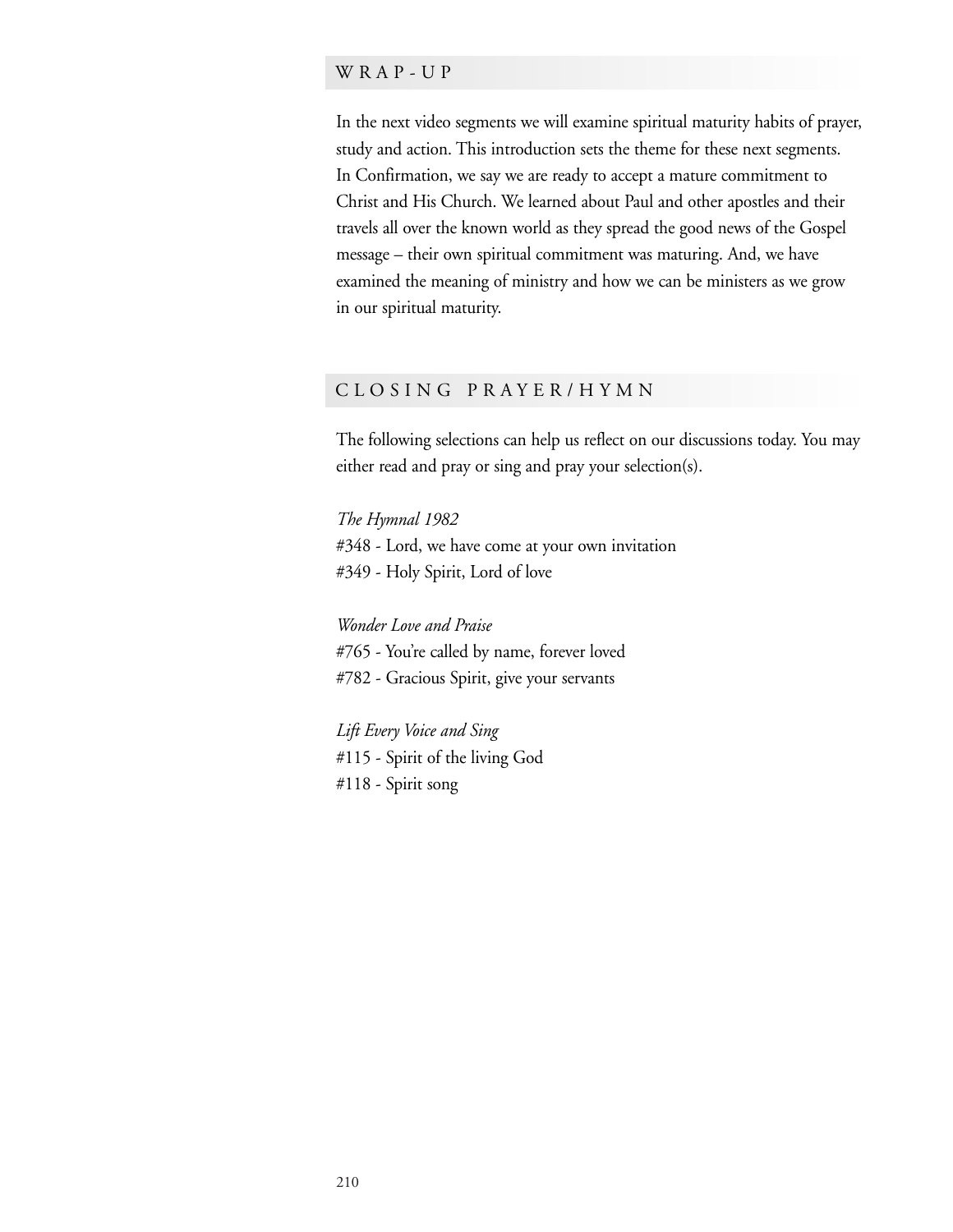#### WRAP-UP

In the next video segments we will examine spiritual maturity habits of prayer, study and action. This introduction sets the theme for these next segments. In Confirmation, we say we are ready to accept a mature commitment to Christ and His Church. We learned about Paul and other apostles and their travels all over the known world as they spread the good news of the Gospel message – their own spiritual commitment was maturing. And, we have examined the meaning of ministry and how we can be ministers as we grow in our spiritual maturity.

#### CLOSING PRAYER/HYMN

The following selections can help us reflect on our discussions today. You may either read and pray or sing and pray your selection(s).

*The Hymnal 1982* #348 - Lord, we have come at your own invitation #349 - Holy Spirit, Lord of love

*Wonder Love and Praise* #765 - You're called by name, forever loved #782 - Gracious Spirit, give your servants

*Lift Every Voice and Sing* #115 - Spirit of the living God #118 - Spirit song